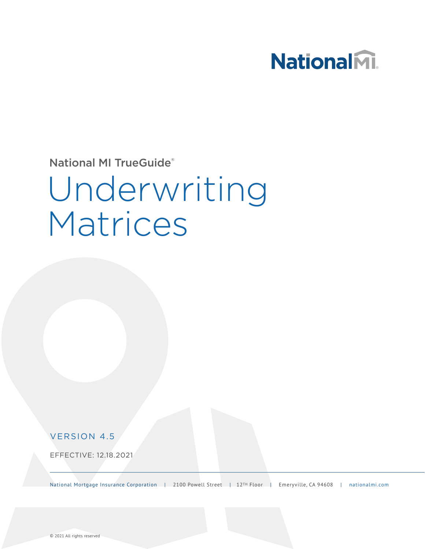## National<sub>M</sub>.

National MI TrueGuide®

# Underwriting Matrices

#### VERSION 4.5

EFFECTIVE: 12.18.2021

National Mortgage Insurance Corporation | 2100 Powell Street | 12TH Floor | Emeryville, CA 94608 | [nationalmi.com](http://www.nationalmi.com)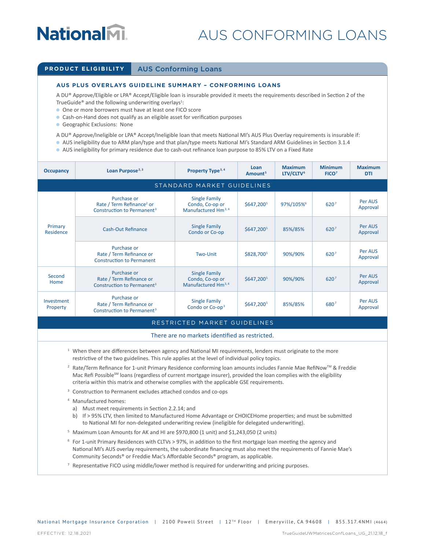### AUS CONFORMING LOANS

#### **PRODUCT ELIGIBILITY | AUS Conforming Loans**

#### **AUS PLUS OVERLAYS GUIDELINE SUMMARY – CONFORMING LOANS**

A DU® Approve/Eligible or LPA® Accept/Eligible loan is insurable provided it meets the requirements described in Section 2 of the TrueGuide<sup>®</sup> and the following underwriting overlays<sup>1</sup>:

- **O** One or more borrowers must have at least one FICO score
- Cash-on-Hand does not qualify as an eligible asset for verification purposes
- Geographic Exclusions: None
- A DU® Approve/Ineligible or LPA® Accept/Ineligible loan that meets National MI's AUS Plus Overlay requirements is insurable if:
- <sup>Q</sup> AUS ineligibility due to ARM plan/type and that plan/type meets National MI's Standard ARM Guidelines in Section 3.1.4
- <sup>Q</sup> AUS ineligibility for primary residence due to cash-out refinance loan purpose to 85% LTV on a Fixed Rate

| <b>Occupancy</b>       | Loan Purpose <sup>2, 3</sup>                                                                   | Property Type <sup>3, 4</sup>                                              | Loan<br>Amount <sup>5</sup> | <b>Maximum</b><br>LTV/CLTV <sup>6</sup> | <b>Minimum</b><br>FICO <sup>7</sup> | <b>Maximum</b><br><b>DTI</b> |
|------------------------|------------------------------------------------------------------------------------------------|----------------------------------------------------------------------------|-----------------------------|-----------------------------------------|-------------------------------------|------------------------------|
|                        |                                                                                                | STANDARD MARKET GUIDELINES                                                 |                             |                                         |                                     |                              |
| Primary<br>Residence   | Purchase or<br>Rate / Term Refinance <sup>2</sup> or<br>Construction to Permanent <sup>3</sup> | <b>Single Family</b><br>Condo, Co-op or<br>Manufactured Hm <sup>3, 4</sup> | \$647,2005                  | 97%/105%                                | 6207                                | Per AUS<br>Approval          |
|                        | Cash-Out Refinance                                                                             | <b>Single Family</b><br>Condo or Co-op                                     | \$647,2005                  | 85%/85%                                 | 6207                                | Per AUS<br>Approval          |
|                        | Purchase or<br>Rate / Term Refinance or<br><b>Construction to Permanent</b>                    | Two-Unit                                                                   | \$828,7005                  | 90%/90%                                 | 620 <sup>7</sup>                    | Per AUS<br>Approval          |
| Second<br>Home         | Purchase or<br>Rate / Term Refinance or<br>Construction to Permanent <sup>3</sup>              | <b>Single Family</b><br>Condo, Co-op or<br>Manufactured Hm <sup>3, 4</sup> | \$647,2005                  | 90%/90%                                 | 620 <sup>7</sup>                    | Per AUS<br>Approval          |
| Investment<br>Property | Purchase or<br>Rate / Term Refinance or<br>Construction to Permanent <sup>3</sup>              | <b>Single Family</b><br>Condo or Co-op <sup>3</sup>                        | \$647,2005                  | 85%/85%                                 | 6807                                | Per AUS<br>Approval          |

#### RESTRICTED MARKET GUIDELINES

#### There are no markets identified as restricted.

- $1$  When there are differences between agency and National MI requirements, lenders must originate to the more restrictive of the two guidelines. This rule applies at the level of individual policy topics.
- <sup>2</sup> Rate/Term Refinance for 1-unit Primary Residence conforming loan amounts includes Fannie Mae RefiNow<sup>™</sup> & Freddie Mac Refi Possible<sup>sM</sup> loans (regardless of current mortgage insurer), provided the loan complies with the eligibility criteria within this matrix and otherwise complies with the applicable GSE requirements.
- <sup>3</sup> Construction to Permanent excludes attached condos and co-ops
- <sup>4</sup> Manufactured homes:
	- a) Must meet requirements in Section 2.2.14; and
	- b) If > 95% LTV, then limited to Manufactured Home Advantage or CHOICEHome properties; and must be submitted to National MI for non-delegated underwriting review (ineligible for delegated underwriting).
- <sup>5</sup> Maximum Loan Amounts for AK and HI are \$970,800 (1 unit) and \$1,243,050 (2 units)
- $6$  For 1-unit Primary Residences with CLTVs > 97%, in addition to the first mortgage loan meeting the agency and National MI's AUS overlay requirements, the subordinate financing must also meet the requirements of Fannie Mae's Community Seconds® or Freddie Mac's Affordable Seconds® program, as applicable.
- <sup>7</sup> Representative FICO using middle/lower method is required for underwriting and pricing purposes.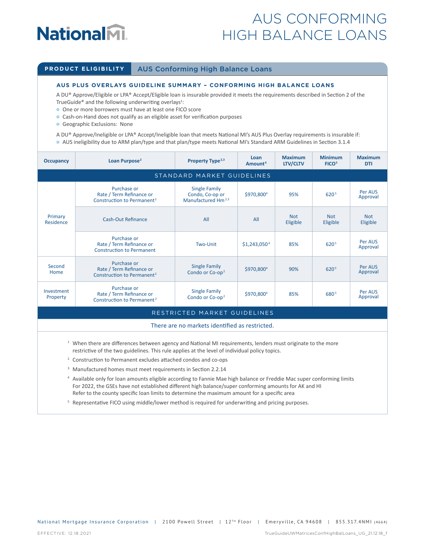## **NationalM.**

### AUS CONFORMING HIGH BALANCE LOANS

#### **PRODUCT ELIGIBILITY** AUS Conforming High Balance Loans

#### **AUS PLUS OVERLAYS GUIDELINE SUMMARY – CONFORMING HIGH BALANCE LOANS**

A DU® Approve/Eligible or LPA® Accept/Eligible loan is insurable provided it meets the requirements described in Section 2 of the TrueGuide® and the following underwriting overlays<sup>1</sup>:

- **O** One or more borrowers must have at least one FICO score
- Cash-on-Hand does not qualify as an eligible asset for verification purposes
- Geographic Exclusions: None
- A DU® Approve/Ineligible or LPA® Accept/Ineligible loan that meets National MI's AUS Plus Overlay requirements is insurable if:
- <sup>Q</sup> AUS ineligibility due to ARM plan/type and that plan/type meets National MI's Standard ARM Guidelines in Section 3.1.4

| <b>Occupancy</b>       | Loan Purpose <sup>2</sup>                                                         | Property Type <sup>2,3</sup>                                              | Loan<br>Amount <sup>4</sup> | <b>Maximum</b><br>LTV/CLTV | <b>Minimum</b><br>FICO <sup>5</sup> | <b>Maximum</b><br><b>DTI</b> |  |
|------------------------|-----------------------------------------------------------------------------------|---------------------------------------------------------------------------|-----------------------------|----------------------------|-------------------------------------|------------------------------|--|
|                        | STANDARD MARKET GUIDELINES                                                        |                                                                           |                             |                            |                                     |                              |  |
| Primary<br>Residence   | Purchase or<br>Rate / Term Refinance or<br>Construction to Permanent <sup>2</sup> | <b>Single Family</b><br>Condo, Co-op or<br>Manufactured Hm <sup>2,3</sup> | \$970,8004                  | 95%                        | 620 <sup>5</sup>                    | Per AUS<br>Approval          |  |
|                        | <b>Cash-Out Refinance</b>                                                         | All                                                                       | All                         | <b>Not</b><br>Eligible     | <b>Not</b><br>Eligible              | <b>Not</b><br>Eligible       |  |
|                        | Purchase or<br>Rate / Term Refinance or<br><b>Construction to Permanent</b>       | Two-Unit                                                                  | \$1,243,050 <sup>4</sup>    | 85%                        | 620 <sup>5</sup>                    | Per AUS<br>Approval          |  |
| Second<br>Home         | Purchase or<br>Rate / Term Refinance or<br>Construction to Permanent <sup>2</sup> | <b>Single Family</b><br>Condo or Co-op <sup>2</sup>                       | \$970,800 <sup>4</sup>      | 90%                        | 620 <sup>5</sup>                    | Per AUS<br>Approval          |  |
| Investment<br>Property | Purchase or<br>Rate / Term Refinance or<br>Construction to Permanent <sup>2</sup> | <b>Single Family</b><br>Condo or Co-op <sup>2</sup>                       | \$970,800 <sup>4</sup>      | 85%                        | 680 <sup>5</sup>                    | Per AUS<br>Approval          |  |

#### RESTRICTED MARKET GUIDELINES

#### There are no markets identified as restricted.

- $1$  When there are differences between agency and National MI requirements, lenders must originate to the more restrictive of the two guidelines. This rule applies at the level of individual policy topics.
- <sup>2</sup> Construction to Permanent excludes attached condos and co-ops
- <sup>3</sup> Manufactured homes must meet requirements in Section 2.2.14
- <sup>4</sup> Available only for loan amounts eligible according to Fannie Mae high balance or Freddie Mac super conforming limits For 2022, the GSEs have not established different high balance/super conforming amounts for AK and HI Refer to the county specific loan limits to determine the maximum amount for a specific area
- <sup>5</sup> Representative FICO using middle/lower method is required for underwriting and pricing purposes.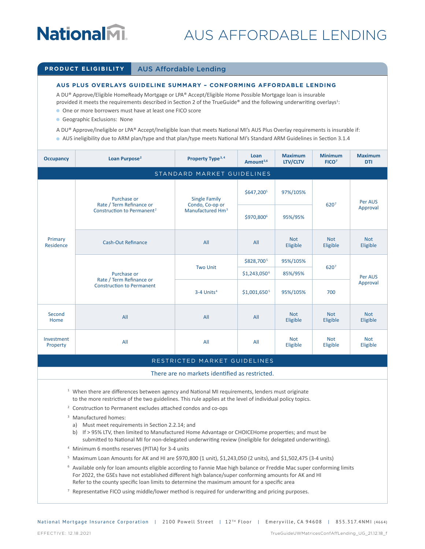### AUS AFFORDABLE LENDING

#### **PRODUCT ELIGIBILITY** AUS Affordable Lending

#### **AUS PLUS OVERLAYS GUIDELINE SUMMARY – CONFORMING AFFORDABLE LENDING**

A DU® Approve/Eligible HomeReady Mortgage or LPA® Accept/Eligible Home Possible Mortgage loan is insurable provided it meets the requirements described in Section 2 of the TrueGuide® and the following underwriting overlays<sup>1</sup>:

- **One or more borrowers must have at least one FICO score**
- **Geographic Exclusions: None**
- A DU® Approve/Ineligible or LPA® Accept/Ineligible loan that meets National MI's AUS Plus Overlay requirements is insurable if:
- <sup>Q</sup> AUS ineligibility due to ARM plan/type and that plan/type meets National MI's Standard ARM Guidelines in Section 3.1.4

| <b>Occupancy</b>                                                                                                                                                                                                                                                                                      | Loan Purpose <sup>2</sup>                                                                                                                                                                                                                                                                                                                  | Property Type <sup>3,4</sup>                                                                        | Loan<br>Amount <sup>5,6</sup> | <b>Maximum</b><br>LTV/CLTV | <b>Minimum</b><br>FICO <sup>7</sup> | <b>Maximum</b><br><b>DTI</b> |  |
|-------------------------------------------------------------------------------------------------------------------------------------------------------------------------------------------------------------------------------------------------------------------------------------------------------|--------------------------------------------------------------------------------------------------------------------------------------------------------------------------------------------------------------------------------------------------------------------------------------------------------------------------------------------|-----------------------------------------------------------------------------------------------------|-------------------------------|----------------------------|-------------------------------------|------------------------------|--|
|                                                                                                                                                                                                                                                                                                       |                                                                                                                                                                                                                                                                                                                                            | STANDARD MARKET GUIDELINES                                                                          |                               |                            |                                     |                              |  |
|                                                                                                                                                                                                                                                                                                       | Purchase or                                                                                                                                                                                                                                                                                                                                | <b>Single Family</b><br>Rate / Term Refinance or<br>Condo, Co-op or<br>Manufactured Hm <sup>3</sup> | \$647,2005                    | 97%/105%                   | 6207                                | Per AUS                      |  |
|                                                                                                                                                                                                                                                                                                       | Construction to Permanent <sup>2</sup>                                                                                                                                                                                                                                                                                                     |                                                                                                     | \$970,8006                    | 95%/95%                    |                                     | Approval                     |  |
| Primary<br>Residence                                                                                                                                                                                                                                                                                  | <b>Cash-Out Refinance</b>                                                                                                                                                                                                                                                                                                                  | All                                                                                                 | All                           | <b>Not</b><br>Eligible     | <b>Not</b><br>Eligible              | <b>Not</b><br>Eligible       |  |
|                                                                                                                                                                                                                                                                                                       |                                                                                                                                                                                                                                                                                                                                            |                                                                                                     | \$828,7005                    | 95%/105%                   |                                     |                              |  |
|                                                                                                                                                                                                                                                                                                       | Purchase or                                                                                                                                                                                                                                                                                                                                | <b>Two Unit</b>                                                                                     | \$1,243,050 <sup>6</sup>      | 85%/95%                    | 6207                                | Per AUS                      |  |
|                                                                                                                                                                                                                                                                                                       | Rate / Term Refinance or<br><b>Construction to Permanent</b>                                                                                                                                                                                                                                                                               | $3-4$ Units <sup>4</sup>                                                                            | \$1,001,650 <sup>5</sup>      | 95%/105%                   | 700                                 | Approval                     |  |
| Second<br>Home                                                                                                                                                                                                                                                                                        | All                                                                                                                                                                                                                                                                                                                                        | All                                                                                                 | All                           | <b>Not</b><br>Eligible     | <b>Not</b><br>Eligible              | <b>Not</b><br>Eligible       |  |
| Investment<br>Property                                                                                                                                                                                                                                                                                | All                                                                                                                                                                                                                                                                                                                                        | All                                                                                                 | All                           | <b>Not</b><br>Eligible     | <b>Not</b><br>Eligible              | <b>Not</b><br>Eligible       |  |
|                                                                                                                                                                                                                                                                                                       |                                                                                                                                                                                                                                                                                                                                            | RESTRICTED MARKET GUIDELINES                                                                        |                               |                            |                                     |                              |  |
|                                                                                                                                                                                                                                                                                                       |                                                                                                                                                                                                                                                                                                                                            | There are no markets identified as restricted.                                                      |                               |                            |                                     |                              |  |
|                                                                                                                                                                                                                                                                                                       | <sup>1</sup> When there are differences between agency and National MI requirements, lenders must originate<br>to the more restrictive of the two guidelines. This rule applies at the level of individual policy topics.                                                                                                                  |                                                                                                     |                               |                            |                                     |                              |  |
|                                                                                                                                                                                                                                                                                                       | <sup>2</sup> Construction to Permanent excludes attached condos and co-ops                                                                                                                                                                                                                                                                 |                                                                                                     |                               |                            |                                     |                              |  |
| <sup>3</sup> Manufactured homes:<br>a) Must meet requirements in Section 2.2.14; and<br>b) If > 95% LTV, then limited to Manufactured Home Advantage or CHOICEHome properties; and must be<br>submitted to National MI for non-delegated underwriting review (ineligible for delegated underwriting). |                                                                                                                                                                                                                                                                                                                                            |                                                                                                     |                               |                            |                                     |                              |  |
| <sup>4</sup> Minimum 6 months reserves (PITIA) for 3-4 units                                                                                                                                                                                                                                          |                                                                                                                                                                                                                                                                                                                                            |                                                                                                     |                               |                            |                                     |                              |  |
|                                                                                                                                                                                                                                                                                                       | <sup>5</sup> Maximum Loan Amounts for AK and HI are \$970,800 (1 unit), \$1,243,050 (2 units), and \$1,502,475 (3-4 units)                                                                                                                                                                                                                 |                                                                                                     |                               |                            |                                     |                              |  |
|                                                                                                                                                                                                                                                                                                       | <sup>6</sup> Available only for loan amounts eligible according to Fannie Mae high balance or Freddie Mac super conforming limits<br>For 2022, the GSEs have not established different high balance/super conforming amounts for AK and HI<br>Refer to the county specific loan limits to determine the maximum amount for a specific area |                                                                                                     |                               |                            |                                     |                              |  |
|                                                                                                                                                                                                                                                                                                       | <sup>7</sup> Representative FICO using middle/lower method is required for underwriting and pricing purposes.                                                                                                                                                                                                                              |                                                                                                     |                               |                            |                                     |                              |  |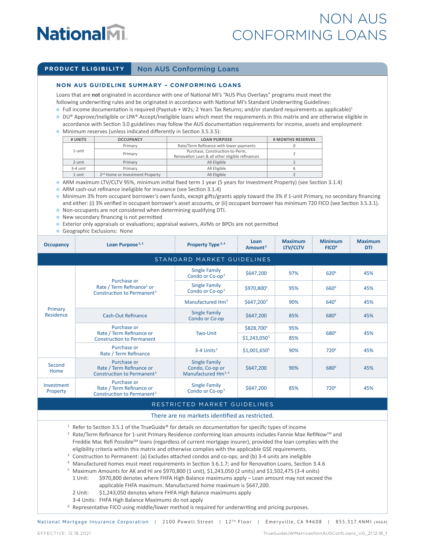### NON AUS CONFORMING LOANS

#### **PRODUCT ELIGIBILITY** Non AUS Conforming Loans

#### **NON AUS GUIDELINE SUMMARY – CONFORMING LOANS**

Loans that are **not** originated in accordance with one of National MI's "AUS Plus Overlays" programs must meet the following underwriting rules and be originated in accordance with National MI's Standard Underwriting Guidelines:

- $\bullet$  Full income documentation is required (Paystub + W2s; 2 Years Tax Returns; and/or standard requirements as applicable)<sup>1</sup>
- DU® Approve/Ineligible or LPA® Accept/Ineligible loans which meet the requirements in this matrix and are otherwise eligible in accordance with Section 3.0 guidelines may follow the AUS documentation requirements for income, assets and employment <sup>Q</sup> Minimum reserves (unless indicated differently in Section 3.5.3.5):
- **# UNITS OCCUPANCY LOAN PURPOSE # MONTHS RESERVES** 1-unit Primary Rate/Term Refinance with lower payments | 0 Primary Purchase, Construction-to-Perm, Primary Purchase, Construction-to-Perm,<br>Renovation Loan & all other eligible refinances 2-unit | Primary | All Eligible 2 3-4 unit Primary All Eligible 6 1 unit 2<sup>nd</sup> Home or Investment Property 2<br>
2

<sup>Q</sup> ARM maximum LTV/CLTV 95%, minimum initial fixed term 1 year (5 years for Investment Property) (see Section 3.1.4)

ARM cash-out refinance ineligible for insurance (see Section 3.1.4)

- <sup>Q</sup> Minimum 3% from occupant borrower's own funds, except gifts/grants apply toward the 3% if 1-unit Primary, no secondary financing and either: (i) 3% verified in occupant borrower's asset accounts, or (ii) occupant borrower has minimum 720 FICO (see Section 3.5.3.1).
- <sup>Q</sup> Non-occupants are not considered when determining qualifying DTI.
- **•** New secondary financing is not permitted
- <sup>Q</sup> Exterior only appraisals or evaluations; appraisal waivers, AVMs or BPOs are not permitted
- Geographic Exclusions: None

| <b>Occupancy</b>       | Loan Purpose <sup>2, 3</sup>                                                                   | Property Type <sup>3,4</sup>                                               | Loan<br>Amount <sup>5</sup> | <b>Maximum</b><br>LTV/CLTV | <b>Minimum</b><br>FICO <sup>6</sup> | <b>Maximum</b><br><b>DTI</b> |  |  |
|------------------------|------------------------------------------------------------------------------------------------|----------------------------------------------------------------------------|-----------------------------|----------------------------|-------------------------------------|------------------------------|--|--|
|                        | STANDARD MARKET GUIDELINES                                                                     |                                                                            |                             |                            |                                     |                              |  |  |
|                        |                                                                                                | <b>Single Family</b><br>Condo or Co-op <sup>3</sup>                        | \$647,200                   | 97%                        | 620 <sup>6</sup>                    | 45%                          |  |  |
|                        | Purchase or<br>Rate / Term Refinance <sup>2</sup> or<br>Construction to Permanent <sup>3</sup> | <b>Single Family</b><br>Condo or Co-op <sup>3</sup>                        | \$970,800 <sup>5</sup>      | 95%                        | 660 <sup>6</sup>                    | 45%                          |  |  |
| Primary<br>Residence   |                                                                                                | Manufactured Hm <sup>4</sup>                                               | \$647,2005                  | 90%                        | 640 <sup>6</sup>                    | 45%                          |  |  |
|                        | Cash-Out Refinance                                                                             | <b>Single Family</b><br>Condo or Co-op                                     | \$647,200                   | 85%                        | 680 <sup>6</sup>                    | 45%                          |  |  |
|                        | Purchase or<br>Rate / Term Refinance or<br><b>Construction to Permanent</b>                    | Two-Unit                                                                   | \$828,7005                  | 95%                        | 680 <sup>6</sup>                    | 45%                          |  |  |
|                        |                                                                                                |                                                                            | \$1,243,050 <sup>5</sup>    | 85%                        |                                     |                              |  |  |
|                        | Purchase or<br>Rate / Term Refinance                                                           | $3-4$ Units <sup>3</sup>                                                   | $$1,001,650^5$              | 90%                        | 720 <sup>6</sup>                    | 45%                          |  |  |
| Second<br>Home         | Purchase or<br>Rate / Term Refinance or<br>Construction to Permanent <sup>3</sup>              | <b>Single Family</b><br>Condo, Co-op or<br>Manufactured Hm <sup>3, 4</sup> | \$647,200                   | 90%                        | 680 <sup>6</sup>                    | 45%                          |  |  |
| Investment<br>Property | Purchase or<br>Rate / Term Refinance or<br>Construction to Permanent <sup>3</sup>              | <b>Single Family</b><br>Condo or Co-op <sup>3</sup>                        | \$647,200                   | 85%                        | 720 <sup>6</sup>                    | 45%                          |  |  |
|                        |                                                                                                |                                                                            |                             |                            |                                     |                              |  |  |

#### RESTRICTED MARKET GUIDELINES

#### There are no markets identified as restricted.

- <sup>1</sup> Refer to Section 3.5.1 of the TrueGuide® for details on documentation for specific types of income
- <sup>2</sup> Rate/Term Refinance for 1-unit Primary Residence conforming loan amounts includes Fannie Mae RefiNow™ and Freddie Mac Refi Possible<sup>SM</sup> loans (regardless of current mortgage insurer), provided the loan complies with the eligibility criteria within this matrix and otherwise complies with the applicable GSE requirements.
- <sup>3</sup> Construction to Permanent: (a) Excludes attached condos and co-ops; and (b) 3-4 units are ineligible
- <sup>4</sup> Manufactured homes must meet requirements in Section 3.6.1.7; and for Renovation Loans, Section 3.4.6
- $5$  Maximum Amounts for AK and HI are \$970,800 (1 unit), \$1,243,050 (2 units) and \$1,502,475 (3-4 units)
- 1 Unit: \$970,800 denotes where FHFA High Balance maximums apply Loan amount may not exceed the
	- applicable FHFA maximum. Manufactured home maximum is \$647,200.
- 2 Unit: \$1,243,050 denotes where FHFA High Balance maximums apply
- 3-4 Units: FHFA High Balance Maximums do not apply

<sup>6</sup> Representative FICO using middle/lower method is required for underwriting and pricing purposes.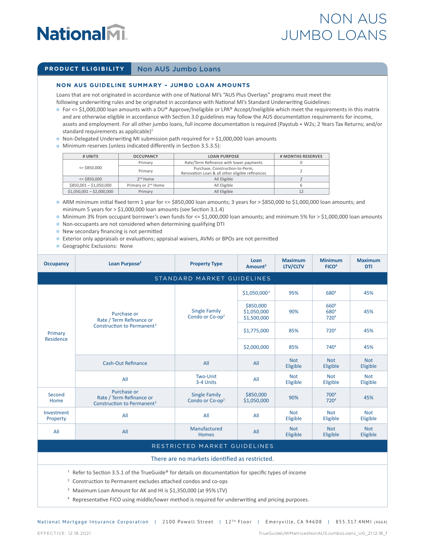## **NationalM.**

### NON AUS JUMBO LOANS

#### **PRODUCT ELIGIBILITY** Non AUS Jumbo Loans

#### **NON AUS GUIDELINE SUMMARY – JUMBO LOAN AMOUNTS**

Loans that are not originated in accordance with one of National MI's "AUS Plus Overlays" programs must meet the following underwriting rules and be originated in accordance with National MI's Standard Underwriting Guidelines:

- For <= \$1,000,000 loan amounts with a DU® Approve/Ineligible or LPA® Accept/Ineligible which meet the requirements in this matrix and are otherwise eligible in accordance with Section 3.0 guidelines may follow the AUS documentation requirements for income, assets and employment. For all other jumbo loans, full income documentation is required (Paystub + W2s; 2 Years Tax Returns; and/or standard requirements as applicable $)^1$
- <sup>Q</sup> Non-Delegated Underwriting MI submission path required for > \$1,000,000 loan amounts
- <sup>Q</sup> Minimum reserves (unless indicated differently in Section 3.5.3.5):

| # UNITS                   | <b>LOAN PURPOSE</b><br><b>OCCUPANCY</b> |                                                                                    | # MONTHS RESERVES |
|---------------------------|-----------------------------------------|------------------------------------------------------------------------------------|-------------------|
|                           | Primary                                 | Rate/Term Refinance with lower payments                                            |                   |
| $=$ \$850,000             | Primary                                 | Purchase, Construction-to-Perm,<br>Renovation Loan & all other eligible refinances |                   |
| $\le$ \$850.000           | $2nd$ Home                              | All Eligible                                                                       |                   |
| $$850,001 - $1,050,000$   | Primary or 2 <sup>nd</sup> Home         | All Eligible                                                                       |                   |
| $$1,050,001 - $2,000,000$ | Primary                                 | All Eligible                                                                       |                   |

- <sup>Q</sup> ARM minimum initial fixed term 1 year for <= \$850,000 loan amounts; 3 years for > \$850,000 to \$1,000,000 loan amounts; and minimum 5 years for > \$1,000,000 loan amounts (see Section 3.1.4)
- <sup>Q</sup> Minimum 3% from occupant borrower's own funds for <= \$1,000,000 loan amounts; and minimum 5% for > \$1,000,000 loan amounts
- <sup>Q</sup> Non-occupants are not considered when determining qualifying DTI
- **•** New secondary financing is not permitted
- <sup>Q</sup> Exterior only appraisals or evaluations; appraisal waivers, AVMs or BPOs are not permitted
- **Geographic Exclusions: None**

| <b>Occupancy</b>                                                                                                            | Loan Purpose <sup>2</sup>                                                         | <b>Property Type</b>                                | Loan<br>Amount <sup>3</sup>             | <b>Maximum</b><br><b>LTV/CLTV</b> | <b>Minimum</b><br>FICO <sup>4</sup>                      | <b>Maximum</b><br><b>DTI</b> |  |  |  |  |
|-----------------------------------------------------------------------------------------------------------------------------|-----------------------------------------------------------------------------------|-----------------------------------------------------|-----------------------------------------|-----------------------------------|----------------------------------------------------------|------------------------------|--|--|--|--|
|                                                                                                                             | STANDARD MARKET GUIDELINES                                                        |                                                     |                                         |                                   |                                                          |                              |  |  |  |  |
| Primary<br>Residence                                                                                                        |                                                                                   |                                                     | $$1,050,000^3$                          | 95%                               | 680 <sup>4</sup>                                         | 45%                          |  |  |  |  |
|                                                                                                                             | Purchase or<br>Rate / Term Refinance or                                           | <b>Single Family</b><br>Condo or Co-op <sup>2</sup> | \$850,000<br>\$1,050,000<br>\$1,500,000 | 90%                               | 660 <sup>4</sup><br>680 <sup>4</sup><br>720 <sup>4</sup> | 45%                          |  |  |  |  |
|                                                                                                                             | Construction to Permanent <sup>2</sup>                                            |                                                     | \$1,775,000                             | 85%                               | 720 <sup>4</sup>                                         | 45%                          |  |  |  |  |
|                                                                                                                             |                                                                                   |                                                     | \$2,000,000                             | 85%                               | 740 <sup>4</sup>                                         | 45%                          |  |  |  |  |
|                                                                                                                             | Cash-Out Refinance                                                                | All                                                 | All                                     | <b>Not</b><br>Eligible            | <b>Not</b><br>Eligible                                   | <b>Not</b><br>Eligible       |  |  |  |  |
|                                                                                                                             | All                                                                               | Two-Unit<br>3-4 Units                               | All                                     | <b>Not</b><br>Eligible            | <b>Not</b><br>Eligible                                   | <b>Not</b><br>Eligible       |  |  |  |  |
| Second<br>Home                                                                                                              | Purchase or<br>Rate / Term Refinance or<br>Construction to Permanent <sup>2</sup> | <b>Single Family</b><br>Condo or Co-op <sup>2</sup> | \$850,000<br>\$1,050,000                | 90%                               | 7004<br>720 <sup>4</sup>                                 | 45%                          |  |  |  |  |
| Investment<br>Property                                                                                                      | All                                                                               | All                                                 | All                                     | <b>Not</b><br>Eligible            | <b>Not</b><br>Eligible                                   | <b>Not</b><br>Eligible       |  |  |  |  |
| All                                                                                                                         | All                                                                               | Manufactured<br><b>Homes</b>                        | All                                     | <b>Not</b><br>Eligible            | <b>Not</b><br>Eligible                                   | <b>Not</b><br>Eligible       |  |  |  |  |
| RESTRICTED MARKET GUIDELINES                                                                                                |                                                                                   |                                                     |                                         |                                   |                                                          |                              |  |  |  |  |
| There are no markets identified as restricted.                                                                              |                                                                                   |                                                     |                                         |                                   |                                                          |                              |  |  |  |  |
| <sup>1</sup> Refer to Section 3.5.1 of the TrueGuide <sup>®</sup> for details on documentation for specific types of income |                                                                                   |                                                     |                                         |                                   |                                                          |                              |  |  |  |  |

- <sup>2</sup> Construction to Permanent excludes attached condos and co-ops
- <sup>3</sup> Maximum Loan Amount for AK and HI is \$1,350,000 (at 95% LTV)
- <sup>4</sup> Representative FICO using middle/lower method is required for underwriting and pricing purposes.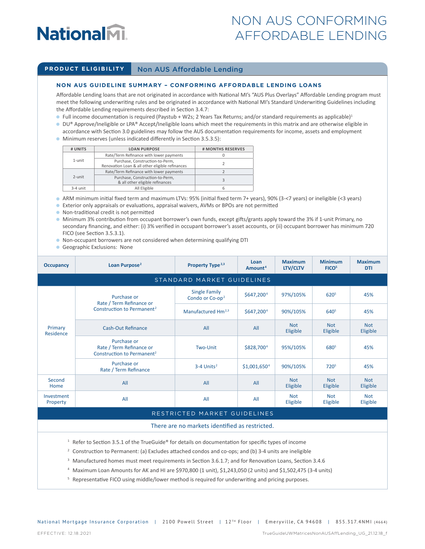## **NationalM.**

### NON AUS CONFORMING AFFORDABLE LENDING

#### **PRODUCT ELIGIBILITY** Non AUS Affordable Lending

#### **NON AUS GUIDELINE SUMMARY – CONFORMING AFFORDABLE LENDING LOANS**

Affordable Lending loans that are not originated in accordance with National MI's "AUS Plus Overlays" Affordable Lending program must meet the following underwriting rules and be originated in accordance with National MI's Standard Underwriting Guidelines including the Affordable Lending requirements described in Section 3.4.7:

- $\bullet$  Full income documentation is required (Paystub + W2s; 2 Years Tax Returns; and/or standard requirements as applicable)<sup>1</sup>
- DU® Approve/Ineligible or LPA® Accept/Ineligible loans which meet the requirements in this matrix and are otherwise eligible in accordance with Section 3.0 guidelines may follow the AUS documentation requirements for income, assets and employment
- <sup>Q</sup> Minimum reserves (unless indicated differently in Section 3.5.3.5):

| # UNITS                  | <b>LOAN PURPOSE</b>                                                                | # MONTHS RESERVES |
|--------------------------|------------------------------------------------------------------------------------|-------------------|
|                          | Rate/Term Refinance with lower payments                                            |                   |
| $1$ -unit                | Purchase, Construction-to-Perm,<br>Renovation Loan & all other eligible refinances |                   |
|                          | Rate/Term Refinance with lower payments                                            |                   |
| 2-unit                   | Purchase, Construction-to-Perm,<br>& all other eligible refinances                 |                   |
| All Eligible<br>3-4 unit |                                                                                    |                   |

<sup>Q</sup> ARM minimum initial fixed term and maximum LTVs: 95% (initial fixed term 7+ years), 90% (3-<7 years) or ineligible (<3 years)

<sup>Q</sup> Exterior only appraisals or evaluations, appraisal waivers, AVMs or BPOs are not permitted

- <sup>Q</sup> Non-traditional credit is not permitted
- <sup>Q</sup> Minimum 3% contribution from occupant borrower's own funds, except gifts/grants apply toward the 3% if 1-unit Primary, no secondary financing, and either: (i) 3% verified in occupant borrower's asset accounts, or (ii) occupant borrower has minimum 720 FICO (see Section 3.5.3.1).
- <sup>Q</sup> Non-occupant borrowers are not considered when determining qualifying DTI
- Geographic Exclusions: None

| <b>Occupancy</b>       | Loan Purpose <sup>2</sup>                                                         | Property Type <sup>2,3</sup>                           | Loan<br>Amount <sup>4</sup> | <b>Maximum</b><br>LTV/CLTV | <b>Minimum</b><br>FICO <sup>5</sup> | <b>Maximum</b><br><b>DTI</b> |  |
|------------------------|-----------------------------------------------------------------------------------|--------------------------------------------------------|-----------------------------|----------------------------|-------------------------------------|------------------------------|--|
|                        | STANDARD MARKET GUIDELINES                                                        |                                                        |                             |                            |                                     |                              |  |
| Primary<br>Residence   | Purchase or<br>Rate / Term Refinance or<br>Construction to Permanent <sup>2</sup> | <b>Single Family</b><br>Condo or $Co$ -op <sup>2</sup> | \$647,2004                  | 97%/105%                   | 620 <sup>5</sup>                    | 45%                          |  |
|                        |                                                                                   | Manufactured Hm <sup>2,3</sup>                         | \$647,200 <sup>4</sup>      | 90%/105%                   | 640 <sup>5</sup>                    | 45%                          |  |
|                        | <b>Cash-Out Refinance</b>                                                         | All                                                    | All                         | <b>Not</b><br>Eligible     | <b>Not</b><br>Eligible              | <b>Not</b><br>Eligible       |  |
|                        | Purchase or<br>Rate / Term Refinance or<br>Construction to Permanent <sup>2</sup> | Two-Unit                                               | \$828,700 <sup>4</sup>      | 95%/105%                   | 680 <sup>5</sup>                    | 45%                          |  |
|                        | Purchase or<br>Rate / Term Refinance                                              | $3-4$ Units <sup>2</sup>                               | \$1,001,650 <sup>4</sup>    | 90%/105%                   | 7205                                | 45%                          |  |
| Second<br>Home         | All                                                                               | All                                                    | All                         | <b>Not</b><br>Eligible     | <b>Not</b><br>Eligible              | <b>Not</b><br>Eligible       |  |
| Investment<br>Property | All                                                                               | All                                                    | All                         | <b>Not</b><br>Eligible     | <b>Not</b><br>Eligible              | <b>Not</b><br>Eligible       |  |

#### RESTRICTED MARKET GUIDELINES

#### There are no markets identified as restricted.

 $1$  Refer to Section 3.5.1 of the TrueGuide® for details on documentation for specific types of income

- <sup>2</sup> Construction to Permanent: (a) Excludes attached condos and co-ops; and (b) 3-4 units are ineligible
- <sup>3</sup> Manufactured homes must meet requirements in Section 3.6.1.7; and for Renovation Loans, Section 3.4.6
- <sup>4</sup> Maximum Loan Amounts for AK and HI are \$970,800 (1 unit), \$1,243,050 (2 units) and \$1,502,475 (3-4 units)
- <sup>5</sup> Representative FICO using middle/lower method is required for underwriting and pricing purposes.